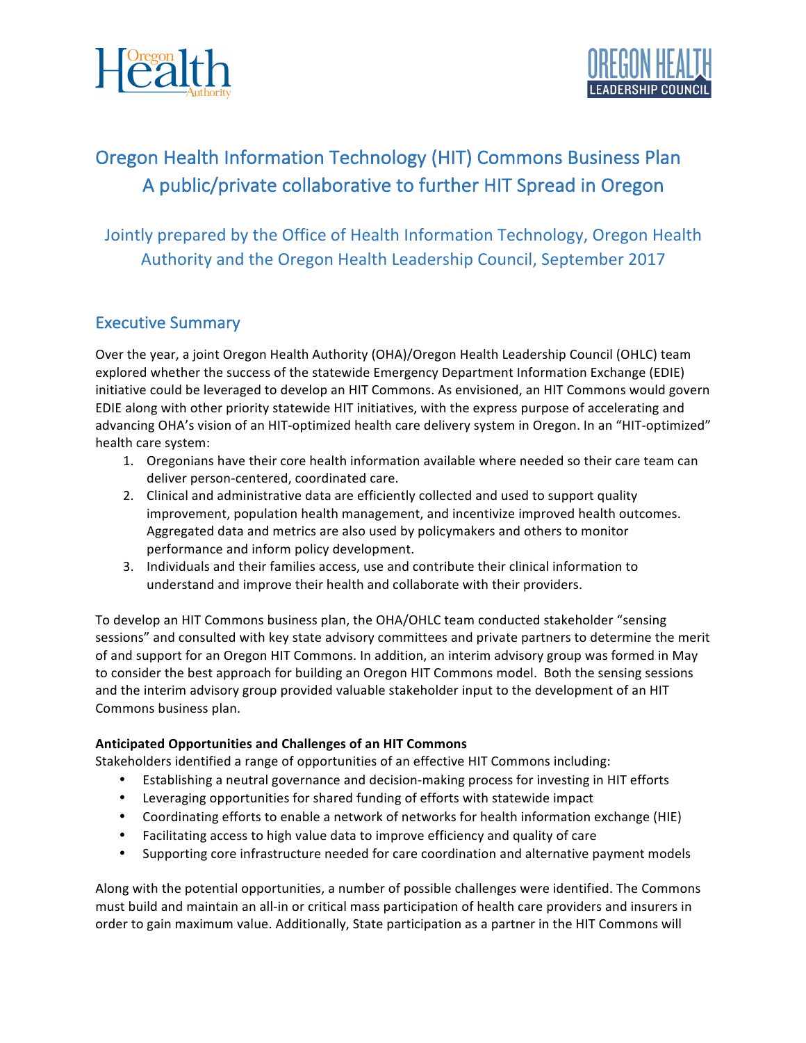



# Oregon Health Information Technology (HIT) Commons Business Plan A public/private collaborative to further HIT Spread in Oregon

Jointly prepared by the Office of Health Information Technology, Oregon Health Authority and the Oregon Health Leadership Council, September 2017

# **Executive Summary**

Over the year, a joint Oregon Health Authority (OHA)/Oregon Health Leadership Council (OHLC) team explored whether the success of the statewide Emergency Department Information Exchange (EDIE) initiative could be leveraged to develop an HIT Commons. As envisioned, an HIT Commons would govern EDIE along with other priority statewide HIT initiatives, with the express purpose of accelerating and advancing OHA's vision of an HIT-optimized health care delivery system in Oregon. In an "HIT-optimized" health care system:

- 1. Oregonians have their core health information available where needed so their care team can deliver person-centered, coordinated care.
- 2. Clinical and administrative data are efficiently collected and used to support quality improvement, population health management, and incentivize improved health outcomes. Aggregated data and metrics are also used by policymakers and others to monitor performance and inform policy development.
- 3. Individuals and their families access, use and contribute their clinical information to understand and improve their health and collaborate with their providers.

To develop an HIT Commons business plan, the OHA/OHLC team conducted stakeholder "sensing sessions" and consulted with key state advisory committees and private partners to determine the merit of and support for an Oregon HIT Commons. In addition, an interim advisory group was formed in May to consider the best approach for building an Oregon HIT Commons model. Both the sensing sessions and the interim advisory group provided valuable stakeholder input to the development of an HIT Commons business plan.

#### **Anticipated Opportunities and Challenges of an HIT Commons**

Stakeholders identified a range of opportunities of an effective HIT Commons including:

- Establishing a neutral governance and decision-making process for investing in HIT efforts
- Leveraging opportunities for shared funding of efforts with statewide impact
- Coordinating efforts to enable a network of networks for health information exchange (HIE)
- Facilitating access to high value data to improve efficiency and quality of care
- Supporting core infrastructure needed for care coordination and alternative payment models

Along with the potential opportunities, a number of possible challenges were identified. The Commons must build and maintain an all-in or critical mass participation of health care providers and insurers in order to gain maximum value. Additionally, State participation as a partner in the HIT Commons will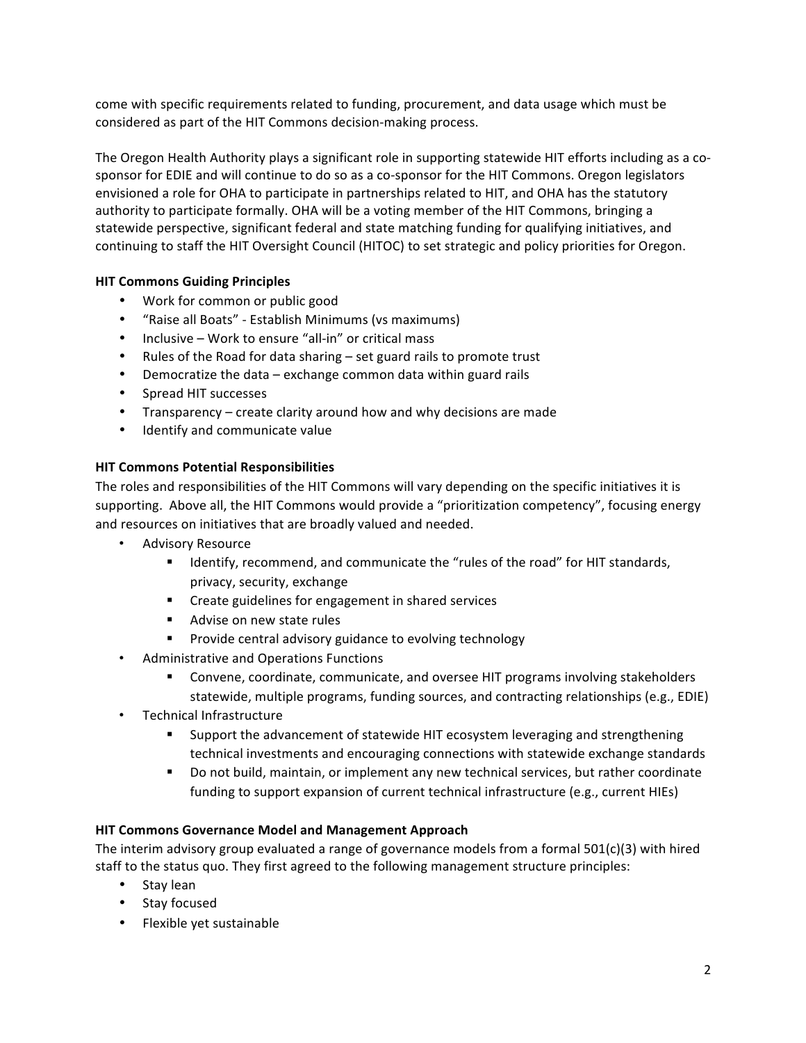come with specific requirements related to funding, procurement, and data usage which must be considered as part of the HIT Commons decision-making process.

The Oregon Health Authority plays a significant role in supporting statewide HIT efforts including as a cosponsor for EDIE and will continue to do so as a co-sponsor for the HIT Commons. Oregon legislators envisioned a role for OHA to participate in partnerships related to HIT, and OHA has the statutory authority to participate formally. OHA will be a voting member of the HIT Commons, bringing a statewide perspective, significant federal and state matching funding for qualifying initiatives, and continuing to staff the HIT Oversight Council (HITOC) to set strategic and policy priorities for Oregon.

#### **HIT Commons Guiding Principles**

- Work for common or public good
- "Raise all Boats" Establish Minimums (vs maximums)
- Inclusive Work to ensure "all-in" or critical mass
- Rules of the Road for data sharing set guard rails to promote trust
- Democratize the data  $-$  exchange common data within guard rails
- Spread HIT successes
- Transparency create clarity around how and why decisions are made
- Identify and communicate value

# **HIT Commons Potential Responsibilities**

The roles and responsibilities of the HIT Commons will vary depending on the specific initiatives it is supporting. Above all, the HIT Commons would provide a "prioritization competency", focusing energy and resources on initiatives that are broadly valued and needed.

- Advisory Resource
	- Identify, recommend, and communicate the "rules of the road" for HIT standards, privacy, security, exchange
	- Create guidelines for engagement in shared services
	- Advise on new state rules
	- Provide central advisory guidance to evolving technology
- Administrative and Operations Functions
	- Convene, coordinate, communicate, and oversee HIT programs involving stakeholders statewide, multiple programs, funding sources, and contracting relationships (e.g., EDIE)
- Technical Infrastructure
	- Support the advancement of statewide HIT ecosystem leveraging and strengthening technical investments and encouraging connections with statewide exchange standards
	- Do not build, maintain, or implement any new technical services, but rather coordinate funding to support expansion of current technical infrastructure (e.g., current HIEs)

# **HIT Commons Governance Model and Management Approach**

The interim advisory group evaluated a range of governance models from a formal  $501(c)(3)$  with hired staff to the status quo. They first agreed to the following management structure principles:

- Stay lean
- Stay focused
- Flexible yet sustainable